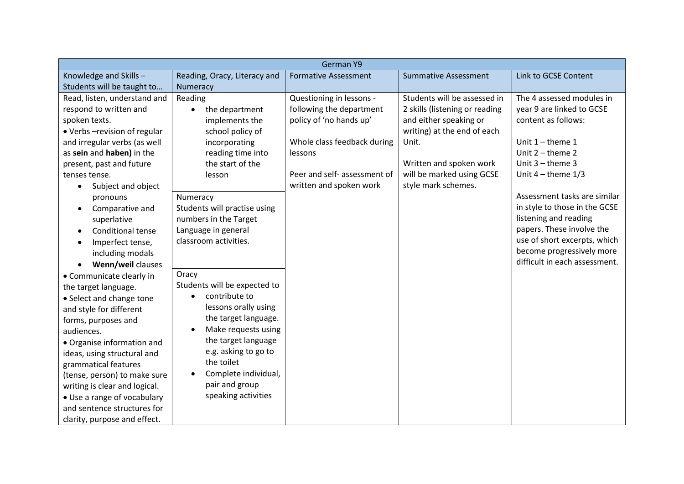| German Y9                             |                              |                              |                                |                               |  |  |
|---------------------------------------|------------------------------|------------------------------|--------------------------------|-------------------------------|--|--|
| Knowledge and Skills-                 | Reading, Oracy, Literacy and | <b>Formative Assessment</b>  | <b>Summative Assessment</b>    | Link to GCSE Content          |  |  |
| Students will be taught to            | Numeracy                     |                              |                                |                               |  |  |
| Read, listen, understand and          | Reading                      | Questioning in lessons -     | Students will be assessed in   | The 4 assessed modules in     |  |  |
| respond to written and                | the department               | following the department     | 2 skills (listening or reading | year 9 are linked to GCSE     |  |  |
| spoken texts.                         | implements the               | policy of 'no hands up'      | and either speaking or         | content as follows:           |  |  |
| • Verbs - revision of regular         | school policy of             |                              | writing) at the end of each    |                               |  |  |
| and irregular verbs (as well          | incorporating                | Whole class feedback during  | Unit.                          | Unit $1$ – theme 1            |  |  |
| as sein and haben) in the             | reading time into            | lessons                      |                                | Unit $2$ – theme $2$          |  |  |
| present, past and future              | the start of the             |                              | Written and spoken work        | Unit $3$ – theme 3            |  |  |
| tenses tense.                         | lesson                       | Peer and self- assessment of | will be marked using GCSE      | Unit $4$ – theme $1/3$        |  |  |
| Subject and object<br>$\bullet$       |                              | written and spoken work      | style mark schemes.            |                               |  |  |
| pronouns                              | Numeracy                     |                              |                                | Assessment tasks are similar  |  |  |
| Comparative and<br>$\bullet$          | Students will practise using |                              |                                | in style to those in the GCSE |  |  |
| superlative                           | numbers in the Target        |                              |                                | listening and reading         |  |  |
| <b>Conditional tense</b><br>$\bullet$ | Language in general          |                              |                                | papers. These involve the     |  |  |
| Imperfect tense,<br>$\bullet$         | classroom activities.        |                              |                                | use of short excerpts, which  |  |  |
| including modals                      |                              |                              |                                | become progressively more     |  |  |
| Wenn/weil clauses                     |                              |                              |                                | difficult in each assessment. |  |  |
| • Communicate clearly in              | Oracy                        |                              |                                |                               |  |  |
| the target language.                  | Students will be expected to |                              |                                |                               |  |  |
| • Select and change tone              | contribute to                |                              |                                |                               |  |  |
| and style for different               | lessons orally using         |                              |                                |                               |  |  |
| forms, purposes and                   | the target language.         |                              |                                |                               |  |  |
| audiences.                            | Make requests using          |                              |                                |                               |  |  |
| • Organise information and            | the target language          |                              |                                |                               |  |  |
| ideas, using structural and           | e.g. asking to go to         |                              |                                |                               |  |  |
| grammatical features                  | the toilet                   |                              |                                |                               |  |  |
| (tense, person) to make sure          | Complete individual,         |                              |                                |                               |  |  |
| writing is clear and logical.         | pair and group               |                              |                                |                               |  |  |
| • Use a range of vocabulary           | speaking activities          |                              |                                |                               |  |  |
| and sentence structures for           |                              |                              |                                |                               |  |  |
| clarity, purpose and effect.          |                              |                              |                                |                               |  |  |